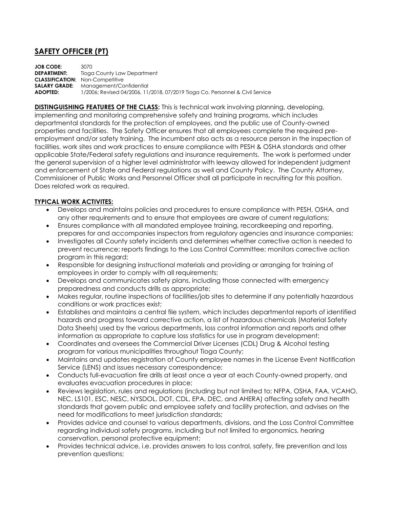## **SAFETY OFFICER (PT)**

**JOB CODE:** 3070 **DEPARTMENT:** Tioga County Law Department **CLASSIFICATION:** Non-Competitive **SALARY GRADE:** Management/Confidential **ADOPTED:** 1/2006; Revised 04/2006, 11/2018, 07/2019 Tioga Co. Personnel & Civil Service

**DISTINGUISHING FEATURES OF THE CLASS:** This is technical work involving planning, developing, implementing and monitoring comprehensive safety and training programs, which includes departmental standards for the protection of employees, and the public use of County-owned properties and facilities. The Safety Officer ensures that all employees complete the required preemployment and/or safety training. The incumbent also acts as a resource person in the inspection of facilities, work sites and work practices to ensure compliance with PESH & OSHA standards and other applicable State/Federal safety regulations and insurance requirements. The work is performed under the general supervision of a higher level administrator with leeway allowed for independent judgment and enforcement of State and Federal regulations as well and County Policy. The County Attorney, Commissioner of Public Works and Personnel Officer shall all participate in recruiting for this position. Does related work as required.

## **TYPICAL WORK ACTIVITES:**

- Develops and maintains policies and procedures to ensure compliance with PESH, OSHA, and any other requirements and to ensure that employees are aware of current regulations;
- Ensures compliance with all mandated employee training, recordkeeping and reporting, prepares for and accompanies inspectors from regulatory agencies and insurance companies;
- Investigates all County safety incidents and determines whether corrective action is needed to prevent recurrence; reports findings to the Loss Control Committee; monitors corrective action program in this regard;
- Responsible for designing instructional materials and providing or arranging for training of employees in order to comply with all requirements;
- Develops and communicates safety plans, including those connected with emergency preparedness and conducts drills as appropriate;
- Makes regular, routine inspections of facilities/job sites to determine if any potentially hazardous conditions or work practices exist;
- Establishes and maintains a central file system, which includes departmental reports of identified hazards and progress toward corrective action, a list of hazardous chemicals (Material Safety Data Sheets) used by the various departments, loss control information and reports and other information as appropriate to capture loss statistics for use in program development;
- Coordinates and oversees the Commercial Driver Licenses (CDL) Drug & Alcohol testing program for various municipalities throughout Tioga County;
- Maintains and updates registration of County employee names in the License Event Notification Service (LENS) and issues necessary correspondence;
- Conducts full-evacuation fire drills at least once a year at each County-owned property, and evaluates evacuation procedures in place;
- Reviews legislation, rules and regulations (including but not limited to: NFPA, OSHA, FAA, VCAHO, NEC, LS101, ESC, NESC, NYSDOL, DOT, CDL, EPA, DEC, and AHERA) affecting safety and health standards that govern public and employee safety and facility protection, and advises on the need for modifications to meet jurisdiction standards;
- Provides advice and counsel to various departments, divisions, and the Loss Control Committee regarding individual safety programs, including but not limited to ergonomics, hearing conservation, personal protective equipment;
- Provides technical advice, i.e. provides answers to loss control, safety, fire prevention and loss prevention questions;